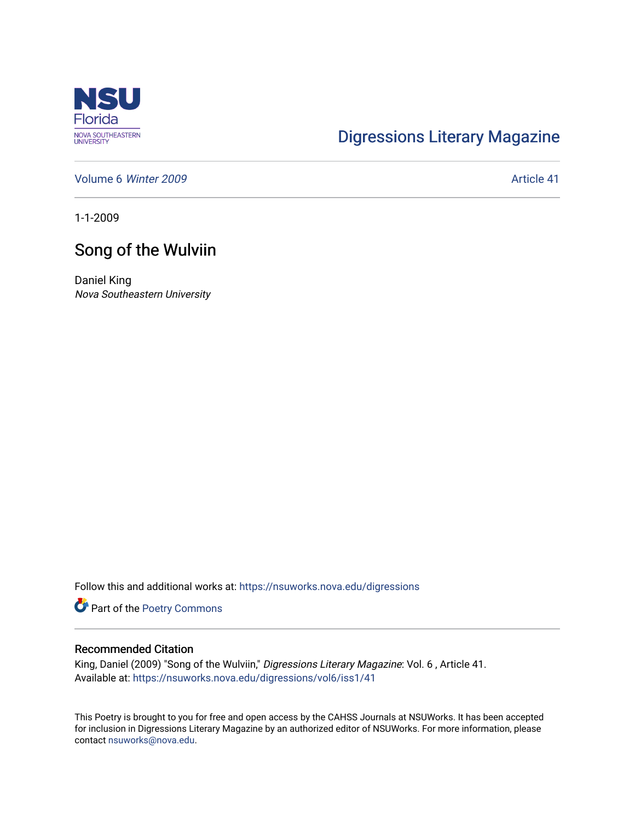

## [Digressions Literary Magazine](https://nsuworks.nova.edu/digressions)

[Volume 6](https://nsuworks.nova.edu/digressions/vol6) Winter 2009 **Article 41** Article 41

1-1-2009

## Song of the Wulviin

Daniel King Nova Southeastern University

Follow this and additional works at: [https://nsuworks.nova.edu/digressions](https://nsuworks.nova.edu/digressions?utm_source=nsuworks.nova.edu%2Fdigressions%2Fvol6%2Fiss1%2F41&utm_medium=PDF&utm_campaign=PDFCoverPages) 

Part of the [Poetry Commons](http://network.bepress.com/hgg/discipline/1153?utm_source=nsuworks.nova.edu%2Fdigressions%2Fvol6%2Fiss1%2F41&utm_medium=PDF&utm_campaign=PDFCoverPages) 

## Recommended Citation

King, Daniel (2009) "Song of the Wulviin," Digressions Literary Magazine: Vol. 6, Article 41. Available at: [https://nsuworks.nova.edu/digressions/vol6/iss1/41](https://nsuworks.nova.edu/digressions/vol6/iss1/41?utm_source=nsuworks.nova.edu%2Fdigressions%2Fvol6%2Fiss1%2F41&utm_medium=PDF&utm_campaign=PDFCoverPages) 

This Poetry is brought to you for free and open access by the CAHSS Journals at NSUWorks. It has been accepted for inclusion in Digressions Literary Magazine by an authorized editor of NSUWorks. For more information, please contact [nsuworks@nova.edu.](mailto:nsuworks@nova.edu)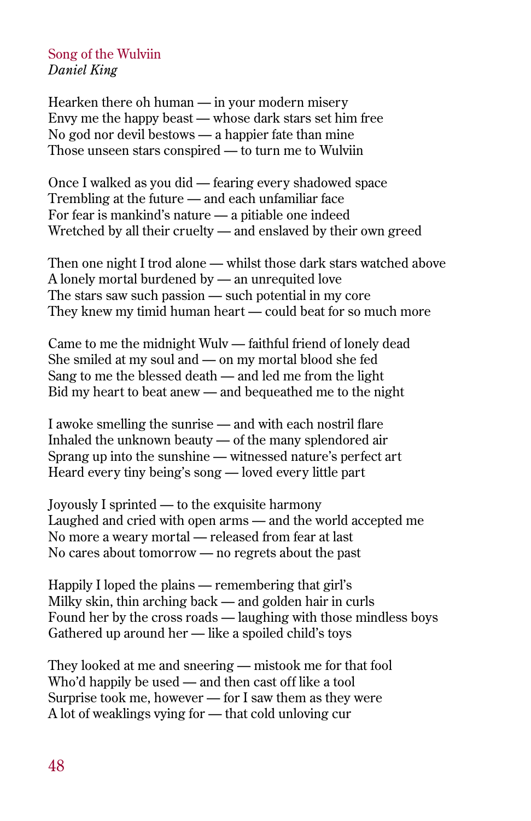## Song of the Wulviin *Daniel King*

Hearken there oh human — in your modern misery Envy me the happy beast — whose dark stars set him free No god nor devil bestows — a happier fate than mine Those unseen stars conspired — to turn me to Wulviin

Once I walked as you did — fearing every shadowed space Trembling at the future — and each unfamiliar face For fear is mankind's nature — a pitiable one indeed Wretched by all their cruelty — and enslaved by their own greed

Then one night I trod alone — whilst those dark stars watched above A lonely mortal burdened by — an unrequited love The stars saw such passion — such potential in my core They knew my timid human heart — could beat for so much more

Came to me the midnight Wulv — faithful friend of lonely dead She smiled at my soul and — on my mortal blood she fed Sang to me the blessed death — and led me from the light Bid my heart to beat anew — and bequeathed me to the night

I awoke smelling the sunrise — and with each nostril flare Inhaled the unknown beauty — of the many splendored air Sprang up into the sunshine — witnessed nature's perfect art Heard every tiny being's song — loved every little part

Joyously I sprinted — to the exquisite harmony Laughed and cried with open arms — and the world accepted me No more a weary mortal — released from fear at last No cares about tomorrow — no regrets about the past

Happily I loped the plains — remembering that girl's Milky skin, thin arching back — and golden hair in curls Found her by the cross roads — laughing with those mindless boys Gathered up around her — like a spoiled child's toys

They looked at me and sneering — mistook me for that fool Who'd happily be used — and then cast off like a tool Surprise took me, however — for I saw them as they were A lot of weaklings vying for — that cold unloving cur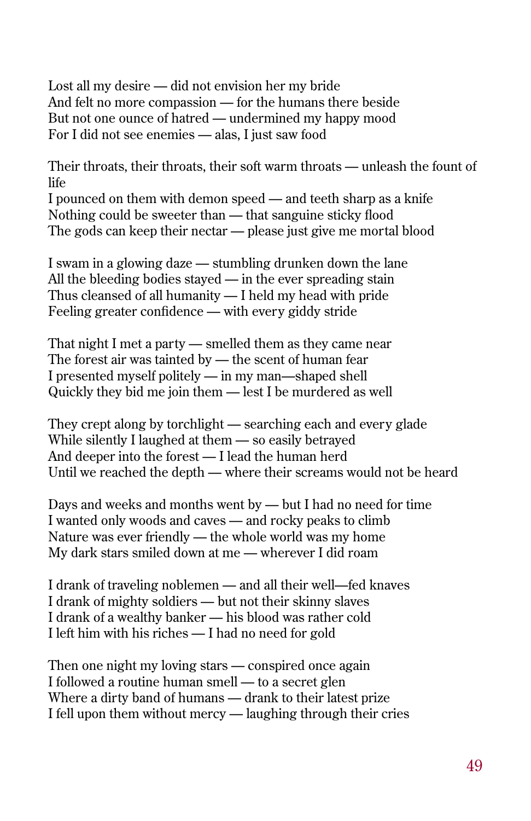Lost all my desire — did not envision her my bride And felt no more compassion — for the humans there beside But not one ounce of hatred — undermined my happy mood For I did not see enemies — alas, I just saw food

Their throats, their throats, their soft warm throats — unleash the fount of life

I pounced on them with demon speed — and teeth sharp as a knife Nothing could be sweeter than — that sanguine sticky flood The gods can keep their nectar — please just give me mortal blood

I swam in a glowing daze — stumbling drunken down the lane All the bleeding bodies stayed — in the ever spreading stain Thus cleansed of all humanity — I held my head with pride Feeling greater confidence — with every giddy stride

That night I met a party — smelled them as they came near The forest air was tainted by — the scent of human fear I presented myself politely — in my man—shaped shell Quickly they bid me join them — lest I be murdered as well

They crept along by torchlight — searching each and every glade While silently I laughed at them — so easily betrayed And deeper into the forest — I lead the human herd Until we reached the depth — where their screams would not be heard

Days and weeks and months went by — but I had no need for time I wanted only woods and caves — and rocky peaks to climb Nature was ever friendly — the whole world was my home My dark stars smiled down at me — wherever I did roam

I drank of traveling noblemen — and all their well—fed knaves I drank of mighty soldiers — but not their skinny slaves I drank of a wealthy banker — his blood was rather cold I left him with his riches — I had no need for gold

Then one night my loving stars — conspired once again I followed a routine human smell — to a secret glen Where a dirty band of humans — drank to their latest prize I fell upon them without mercy — laughing through their cries